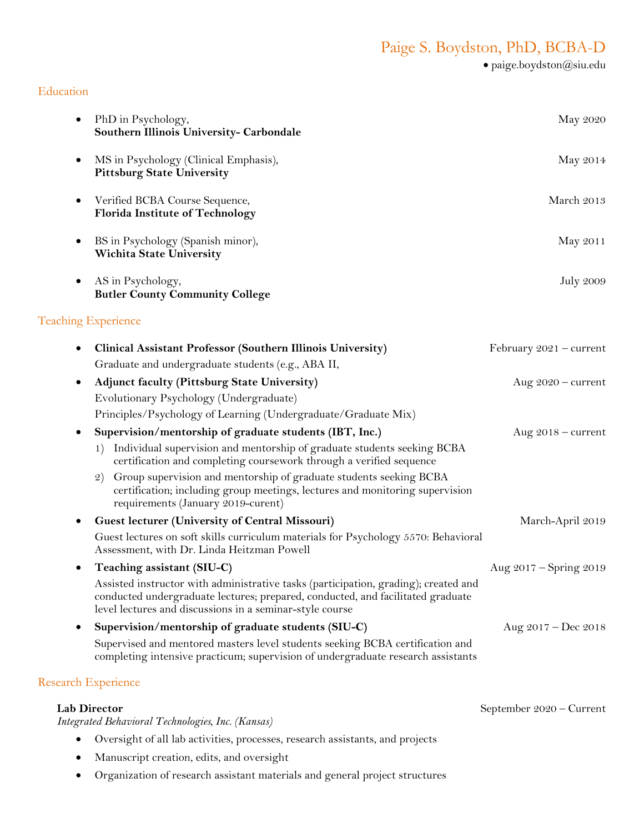# Paige S. Boydston, PhD, BCBA-D

• paige.boydston@siu.edu

### Education

| $\bullet$ | PhD in Psychology,<br>Southern Illinois University- Carbondale                                                                                                                                                                     | May 2020                  |
|-----------|------------------------------------------------------------------------------------------------------------------------------------------------------------------------------------------------------------------------------------|---------------------------|
| ٠         | MS in Psychology (Clinical Emphasis),<br><b>Pittsburg State University</b>                                                                                                                                                         | May 2014                  |
| ٠         | Verified BCBA Course Sequence,<br><b>Florida Institute of Technology</b>                                                                                                                                                           | March 2013                |
| ٠         | BS in Psychology (Spanish minor),<br><b>Wichita State University</b>                                                                                                                                                               | May 2011                  |
| $\bullet$ | AS in Psychology,<br><b>Butler County Community College</b>                                                                                                                                                                        | <b>July 2009</b>          |
|           | <b>Teaching Experience</b>                                                                                                                                                                                                         |                           |
| $\bullet$ | Clinical Assistant Professor (Southern Illinois University)<br>Graduate and undergraduate students (e.g., ABA II,                                                                                                                  | February $2021$ – current |
| $\bullet$ | <b>Adjunct faculty (Pittsburg State University)</b>                                                                                                                                                                                | Aug $2020$ – current      |
|           | Evolutionary Psychology (Undergraduate)                                                                                                                                                                                            |                           |
|           | Principles/Psychology of Learning (Undergraduate/Graduate Mix)                                                                                                                                                                     |                           |
| ٠         | Supervision/mentorship of graduate students (IBT, Inc.)                                                                                                                                                                            | Aug $2018$ – current      |
|           | Individual supervision and mentorship of graduate students seeking BCBA<br>1)<br>certification and completing coursework through a verified sequence                                                                               |                           |
|           | Group supervision and mentorship of graduate students seeking BCBA<br>$\mathcal{Q}$<br>certification; including group meetings, lectures and monitoring supervision<br>requirements (January 2019-curent)                          |                           |
| ٠         | <b>Guest lecturer (University of Central Missouri)</b>                                                                                                                                                                             | March-April 2019          |
|           | Guest lectures on soft skills curriculum materials for Psychology 5570: Behavioral<br>Assessment, with Dr. Linda Heitzman Powell                                                                                                   |                           |
| ٠         | Teaching assistant (SIU-C)                                                                                                                                                                                                         | Aug 2017 – Spring 2019    |
|           | Assisted instructor with administrative tasks (participation, grading); created and<br>conducted undergraduate lectures; prepared, conducted, and facilitated graduate<br>level lectures and discussions in a seminar-style course |                           |
| ٠         | Supervision/mentorship of graduate students (SIU-C)                                                                                                                                                                                | Aug 2017 - Dec 2018       |
|           | Supervised and mentored masters level students seeking BCBA certification and<br>completing intensive practicum; supervision of undergraduate research assistants                                                                  |                           |
|           |                                                                                                                                                                                                                                    |                           |

# Research Experience

*Integrated Behavioral Technologies, Inc. (Kansas)*

- Oversight of all lab activities, processes, research assistants, and projects
- Manuscript creation, edits, and oversight
- Organization of research assistant materials and general project structures

Lab Director September 2020 – Current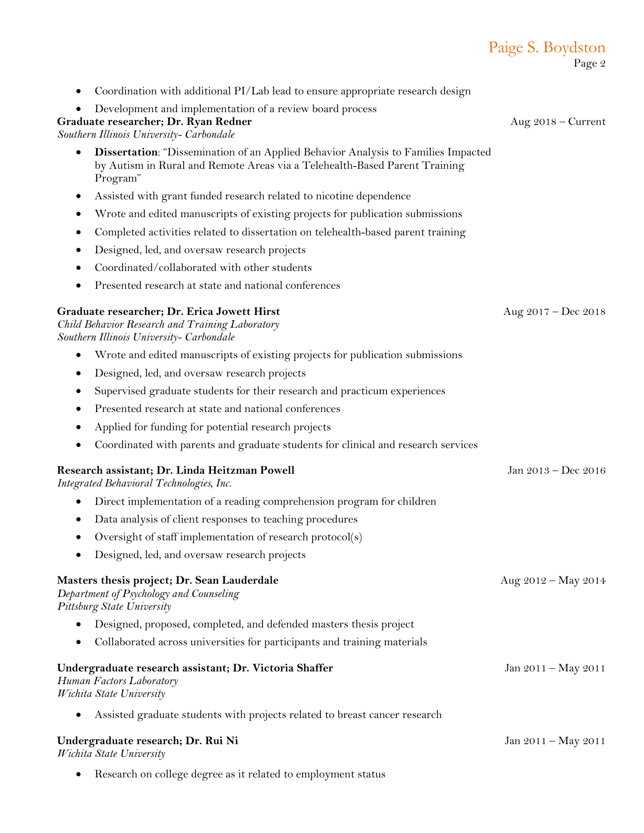|                                                                                                                                                                                    | Page 2                |
|------------------------------------------------------------------------------------------------------------------------------------------------------------------------------------|-----------------------|
| Coordination with additional PI/Lab lead to ensure appropriate research design                                                                                                     |                       |
| Development and implementation of a review board process<br>Graduate researcher; Dr. Ryan Redner<br>Southern Illinois University- Carbondale                                       | Aug $2018$ – Current  |
| <b>Dissertation:</b> "Dissemination of an Applied Behavior Analysis to Families Impacted<br>by Autism in Rural and Remote Areas via a Telehealth-Based Parent Training<br>Program" |                       |
| Assisted with grant funded research related to nicotine dependence<br>$\bullet$                                                                                                    |                       |
| Wrote and edited manuscripts of existing projects for publication submissions                                                                                                      |                       |
| Completed activities related to dissertation on telehealth-based parent training                                                                                                   |                       |
| Designed, led, and oversaw research projects                                                                                                                                       |                       |
| Coordinated/collaborated with other students                                                                                                                                       |                       |
| Presented research at state and national conferences<br>٠                                                                                                                          |                       |
| Graduate researcher; Dr. Erica Jowett Hirst<br>Child Behavior Research and Training Laboratory<br>Southern Illinois University- Carbondale                                         | Aug $2017 - Dec 2018$ |
| Wrote and edited manuscripts of existing projects for publication submissions<br>٠                                                                                                 |                       |
| Designed, led, and oversaw research projects<br>٠                                                                                                                                  |                       |
| Supervised graduate students for their research and practicum experiences                                                                                                          |                       |
| Presented research at state and national conferences                                                                                                                               |                       |
| Applied for funding for potential research projects                                                                                                                                |                       |
| Coordinated with parents and graduate students for clinical and research services<br>$\bullet$                                                                                     |                       |
| Research assistant; Dr. Linda Heitzman Powell<br>Integrated Behavioral Technologies, Inc.                                                                                          | Jan 2013 - Dec 2016   |
| Direct implementation of a reading comprehension program for children                                                                                                              |                       |
| Data analysis of client responses to teaching procedures                                                                                                                           |                       |
| Oversight of staff implementation of research protocol(s)                                                                                                                          |                       |
| Designed, led, and oversaw research projects                                                                                                                                       |                       |
| Masters thesis project; Dr. Sean Lauderdale<br>Department of Psychology and Counseling<br>Pittsburg State University                                                               | Aug 2012 – May 2014   |
| Designed, proposed, completed, and defended masters thesis project                                                                                                                 |                       |
| Collaborated across universities for participants and training materials                                                                                                           |                       |
| Undergraduate research assistant; Dr. Victoria Shaffer<br>Human Factors Laboratory<br>Wichita State University                                                                     | Jan 2011 – May 2011   |
| Assisted graduate students with projects related to breast cancer research                                                                                                         |                       |
| Undergraduate research; Dr. Rui Ni<br>Wichita State University                                                                                                                     | Jan 2011 - May 2011   |

Paige S. Boydston

• Research on college degree as it related to employment status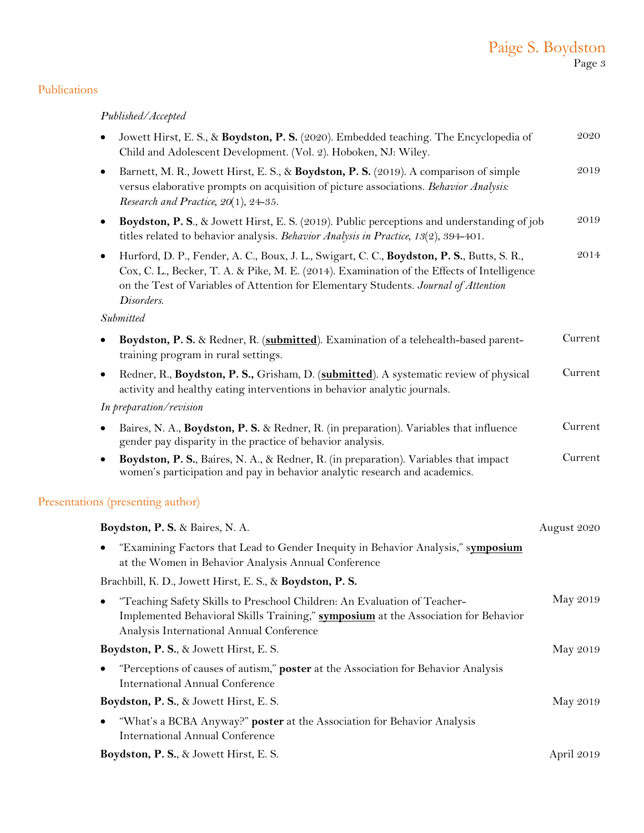# Paige S. Boydston Page 3

## Publications

## *Published/Accepted*

| Jowett Hirst, E. S., & Boydston, P. S. (2020). Embedded teaching. The Encyclopedia of<br>Child and Adolescent Development. (Vol. 2). Hoboken, NJ: Wiley.                                                                                                                                                   | $\boldsymbol{2020}$ |
|------------------------------------------------------------------------------------------------------------------------------------------------------------------------------------------------------------------------------------------------------------------------------------------------------------|---------------------|
| Barnett, M. R., Jowett Hirst, E. S., & Boydston, P. S. (2019). A comparison of simple<br>$\bullet$<br>versus elaborative prompts on acquisition of picture associations. Behavior Analysis:<br>Research and Practice, $20(1)$ , $24-35$ .                                                                  | 2019                |
| Boydston, P. S., & Jowett Hirst, E. S. (2019). Public perceptions and understanding of job<br>$\bullet$<br>titles related to behavior analysis. Behavior Analysis in Practice, 13(2), 394-401.                                                                                                             | 2019                |
| Hurford, D. P., Fender, A. C., Boux, J. L., Swigart, C. C., Boydston, P. S., Butts, S. R.,<br>$\bullet$<br>Cox, C. L., Becker, T. A. & Pike, M. E. (2014). Examination of the Effects of Intelligence<br>on the Test of Variables of Attention for Elementary Students. Journal of Attention<br>Disorders. | 2014                |
| Submitted                                                                                                                                                                                                                                                                                                  |                     |
| Boydston, P. S. & Redner, R. (submitted). Examination of a telehealth-based parent-<br>$\bullet$<br>training program in rural settings.                                                                                                                                                                    | Current             |
| Redner, R., Boydston, P. S., Grisham, D. (submitted). A systematic review of physical<br>$\bullet$<br>activity and healthy eating interventions in behavior analytic journals.                                                                                                                             | Current             |
| In preparation/revision                                                                                                                                                                                                                                                                                    |                     |
| Baires, N. A., Boydston, P. S. & Redner, R. (in preparation). Variables that influence<br>gender pay disparity in the practice of behavior analysis.                                                                                                                                                       | Current             |
| Boydston, P. S., Baires, N. A., & Redner, R. (in preparation). Variables that impact<br>women's participation and pay in behavior analytic research and academics.                                                                                                                                         | Current             |
| Presentations (presenting author)                                                                                                                                                                                                                                                                          |                     |
| Boydston, P. S. & Baires, N. A.                                                                                                                                                                                                                                                                            | August 2020         |
| "Examining Factors that Lead to Gender Inequity in Behavior Analysis," symposium<br>$\bullet$<br>at the Women in Behavior Analysis Annual Conference                                                                                                                                                       |                     |
| Brachbill, K. D., Jowett Hirst, E. S., & Boydston, P. S.                                                                                                                                                                                                                                                   |                     |
| "Teaching Safety Skills to Preschool Children: An Evaluation of Teacher-<br>Implemented Behavioral Skills Training," symposium at the Association for Behavior<br>Analysis International Annual Conference                                                                                                 | May 2019            |
| Boydston, P. S., & Jowett Hirst, E. S.                                                                                                                                                                                                                                                                     | May 2019            |
| "Perceptions of causes of autism," poster at the Association for Behavior Analysis<br><b>International Annual Conference</b>                                                                                                                                                                               |                     |
| Boydston, P. S., & Jowett Hirst, E. S.                                                                                                                                                                                                                                                                     | May 2019            |
| "What's a BCBA Anyway?" poster at the Association for Behavior Analysis<br><b>International Annual Conference</b>                                                                                                                                                                                          |                     |
| Boydston, P. S., & Jowett Hirst, E. S.                                                                                                                                                                                                                                                                     | April 2019          |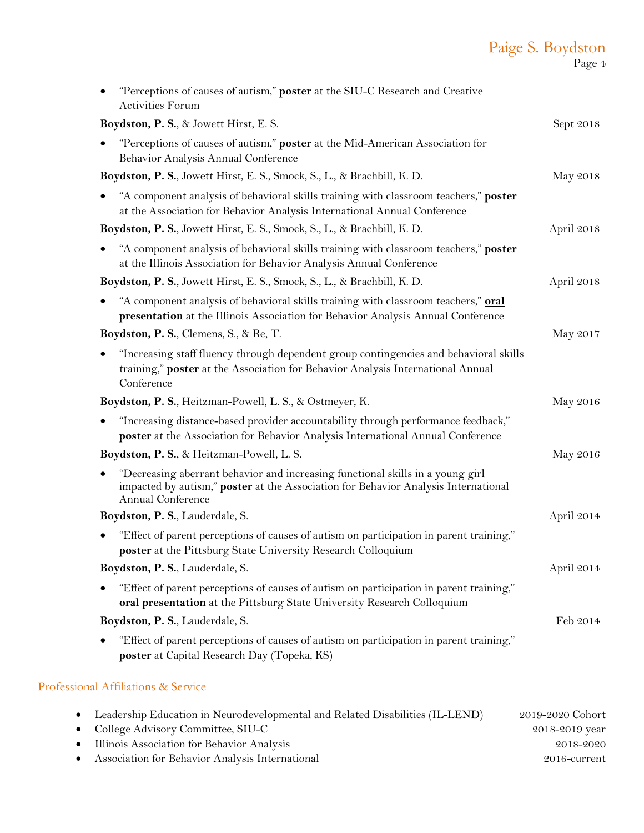# Paige S. Boydston

Page 4

| "Perceptions of causes of autism," poster at the SIU-C Research and Creative<br><b>Activities Forum</b>                                                                                                |            |
|--------------------------------------------------------------------------------------------------------------------------------------------------------------------------------------------------------|------------|
| Boydston, P. S., & Jowett Hirst, E. S.                                                                                                                                                                 | Sept 2018  |
| "Perceptions of causes of autism," poster at the Mid-American Association for<br>Behavior Analysis Annual Conference                                                                                   |            |
| Boydston, P. S., Jowett Hirst, E. S., Smock, S., L., & Brachbill, K. D.                                                                                                                                | May 2018   |
| "A component analysis of behavioral skills training with classroom teachers," poster<br>$\bullet$<br>at the Association for Behavior Analysis International Annual Conference                          |            |
| Boydston, P. S., Jowett Hirst, E. S., Smock, S., L., & Brachbill, K. D.                                                                                                                                | April 2018 |
| "A component analysis of behavioral skills training with classroom teachers," poster<br>at the Illinois Association for Behavior Analysis Annual Conference                                            |            |
| Boydston, P. S., Jowett Hirst, E. S., Smock, S., L., & Brachbill, K. D.                                                                                                                                | April 2018 |
| "A component analysis of behavioral skills training with classroom teachers," <b>oral</b><br>presentation at the Illinois Association for Behavior Analysis Annual Conference                          |            |
| Boydston, P. S., Clemens, S., & Re, T.                                                                                                                                                                 | May 2017   |
| "Increasing staff fluency through dependent group contingencies and behavioral skills<br>training," poster at the Association for Behavior Analysis International Annual<br>Conference                 |            |
| Boydston, P. S., Heitzman-Powell, L. S., & Ostmeyer, K.                                                                                                                                                | May 2016   |
| "Increasing distance-based provider accountability through performance feedback,"<br>$\bullet$<br>poster at the Association for Behavior Analysis International Annual Conference                      |            |
| Boydston, P. S., & Heitzman-Powell, L. S.                                                                                                                                                              | May 2016   |
| "Decreasing aberrant behavior and increasing functional skills in a young girl<br>$\bullet$<br>impacted by autism," poster at the Association for Behavior Analysis International<br>Annual Conference |            |
| Boydston, P. S., Lauderdale, S.                                                                                                                                                                        | April 2014 |
| "Effect of parent perceptions of causes of autism on participation in parent training,"<br>poster at the Pittsburg State University Research Colloquium                                                |            |
| Boydston, P. S., Lauderdale, S.                                                                                                                                                                        | April 2014 |
| "Effect of parent perceptions of causes of autism on participation in parent training,"<br>oral presentation at the Pittsburg State University Research Colloquium                                     |            |
| Boydston, P. S., Lauderdale, S.                                                                                                                                                                        | Feb 2014   |
| "Effect of parent perceptions of causes of autism on participation in parent training,"<br>poster at Capital Research Day (Topeka, KS)                                                                 |            |
| Professional Affiliations & Service                                                                                                                                                                    |            |

| Leadership Education in Neurodevelopmental and Related Disabilities (IL-LEND) | 2019-2020 Cohort |
|-------------------------------------------------------------------------------|------------------|
| • College Advisory Committee, SIU-C                                           | 2018–2019 year   |
| Illinois Association for Behavior Analysis                                    | 2018-2020        |
| Association for Behavior Analysis International                               | 2016-current     |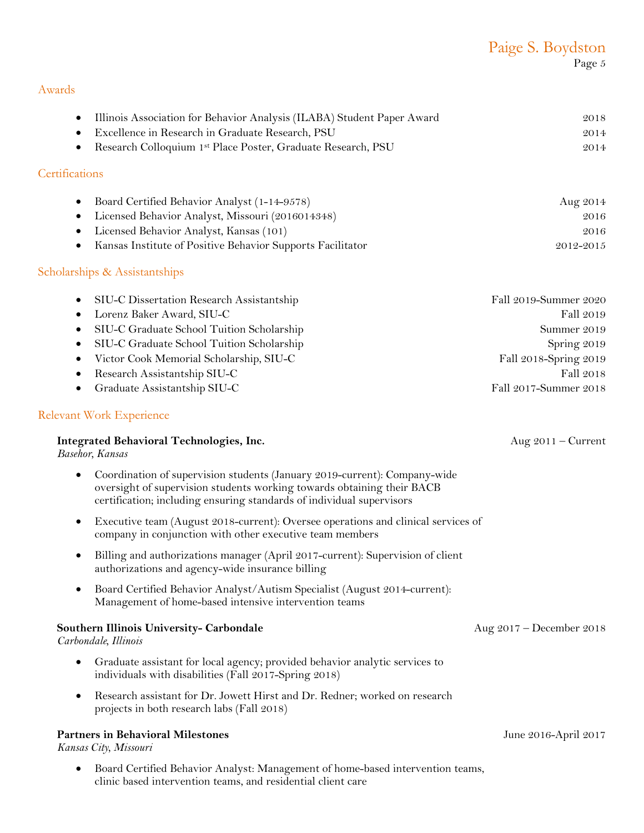| Paige S. Boydston |
|-------------------|
| Page 5            |

### Awards

| $\bullet$<br>$\bullet$<br>$\bullet$ | Illinois Association for Behavior Analysis (ILABA) Student Paper Award<br>Excellence in Research in Graduate Research, PSU<br>Research Colloquium 1st Place Poster, Graduate Research, PSU                                   | 2018<br>2014<br>2014     |
|-------------------------------------|------------------------------------------------------------------------------------------------------------------------------------------------------------------------------------------------------------------------------|--------------------------|
| Certifications                      |                                                                                                                                                                                                                              |                          |
| $\bullet$                           | Board Certified Behavior Analyst (1-14-9578)                                                                                                                                                                                 | Aug 2014                 |
| $\bullet$                           | Licensed Behavior Analyst, Missouri (2016014348)                                                                                                                                                                             | $\sqrt{2016}$            |
| $\bullet$                           | Licensed Behavior Analyst, Kansas (101)                                                                                                                                                                                      | 2016                     |
| $\bullet$                           | Kansas Institute of Positive Behavior Supports Facilitator                                                                                                                                                                   | 2012-2015                |
|                                     | Scholarships & Assistantships                                                                                                                                                                                                |                          |
| $\bullet$                           | SIU-C Dissertation Research Assistantship                                                                                                                                                                                    | Fall 2019-Summer 2020    |
| $\bullet$                           | Lorenz Baker Award, SIU-C                                                                                                                                                                                                    | Fall 2019                |
| $\bullet$                           | SIU-C Graduate School Tuition Scholarship                                                                                                                                                                                    | Summer 2019              |
| $\bullet$                           | SIU-C Graduate School Tuition Scholarship                                                                                                                                                                                    | Spring 2019              |
| $\bullet$                           | Victor Cook Memorial Scholarship, SIU-C                                                                                                                                                                                      | Fall 2018-Spring 2019    |
| $\bullet$                           | Research Assistantship SIU-C                                                                                                                                                                                                 | Fall 2018                |
| ٠                                   | Graduate Assistantship SIU-C                                                                                                                                                                                                 | Fall 2017-Summer 2018    |
|                                     | Relevant Work Experience                                                                                                                                                                                                     |                          |
|                                     | <b>Integrated Behavioral Technologies, Inc.</b><br>Basehor, Kansas                                                                                                                                                           | Aug $2011$ – Current     |
| $\bullet$                           | Coordination of supervision students (January 2019-current): Company-wide<br>oversight of supervision students working towards obtaining their BACB<br>certification; including ensuring standards of individual supervisors |                          |
| $\bullet$                           | Executive team (August 2018-current): Oversee operations and clinical services of<br>company in conjunction with other executive team members                                                                                |                          |
| $\bullet$                           | Billing and authorizations manager (April 2017-current): Supervision of client<br>authorizations and agency-wide insurance billing                                                                                           |                          |
| $\bullet$                           | Board Certified Behavior Analyst/Autism Specialist (August 2014-current):<br>Management of home-based intensive intervention teams                                                                                           |                          |
|                                     | Southern Illinois University- Carbondale<br>Carbondale, Illinois                                                                                                                                                             | Aug 2017 – December 2018 |
| $\bullet$                           | Graduate assistant for local agency; provided behavior analytic services to<br>individuals with disabilities (Fall 2017-Spring 2018)                                                                                         |                          |
| $\bullet$                           | Research assistant for Dr. Jowett Hirst and Dr. Redner; worked on research<br>projects in both research labs (Fall 2018)                                                                                                     |                          |
|                                     | <b>Partners in Behavioral Milestones</b><br>Kansas City, Missouri                                                                                                                                                            | June 2016-April 2017     |

• Board Certified Behavior Analyst: Management of home-based intervention teams, clinic based intervention teams, and residential client care